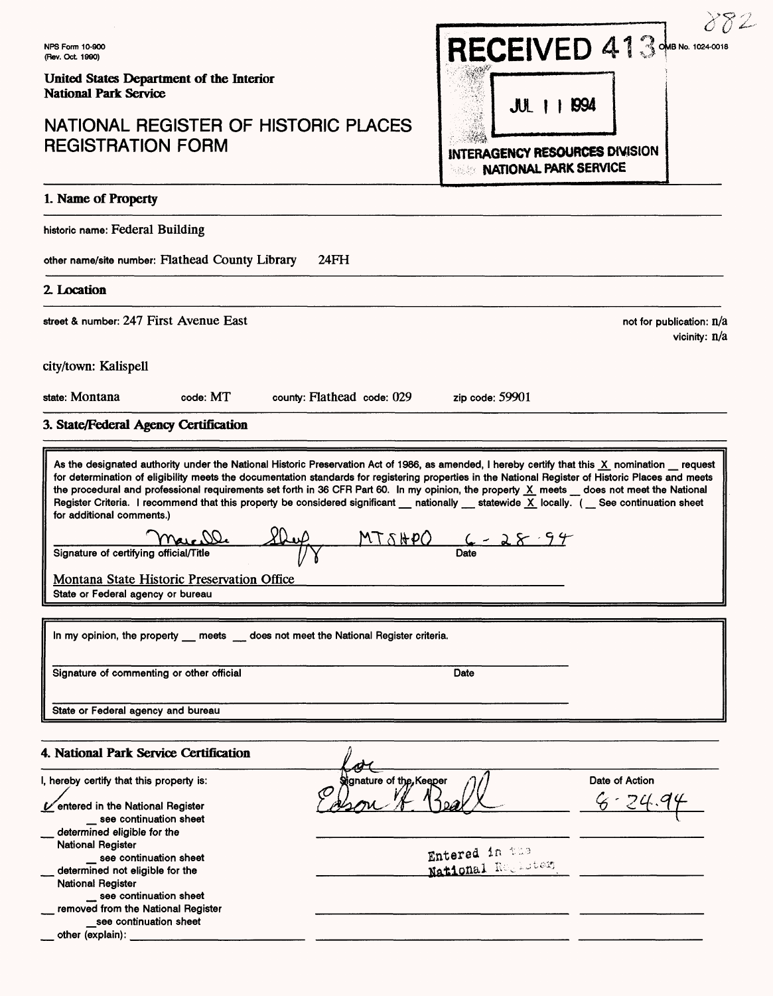# NATIONAL REGISTER OF HISTORIC PLACES REGISTRATION FORM



not for publication: n/a

vicinity: n/a

## 1. Name of Property

historic name: Federal Building

other name/site number: Flathead County Library 24FH

### **2. Location**

street & number: 247 First Avenue East

city/town: Kalispell

state: Montana code: MT county: Flathead code: 029

zip code: 59901

## 3. State/Federal Agency Certification

As the designated authority under the National Historic Preservation Act of 1986, as amended, I hereby certify that this X nomination request for determination of eligibility meets the documentation standards for registering properties in the National Register of Historic Places and meets the procedural and professional requirements set forth in 36 CFR Part 60. In my opinion, the property  $X$  meets  $\_\,$  does not meet the National Register Criteria. I recommend that this property be considered significant nationally statewide  $\overline{X}$  locally. ( See continuation sheet for additional comments.)  $Signature of certifying official/Title$  //if  $NTS\#PO$   $C - 28 - 94$ Montana State Historic Preservation Office State or Federal agency or bureau In my opinion, the property \_\_ meets \_\_ does not meet the National Register criteria. Signature of commenting or other official Date State or Federal agency and bureau

# 4. National Park Service Certification

| 4. National Park Service Certification                                                                  |                                                         |                               |
|---------------------------------------------------------------------------------------------------------|---------------------------------------------------------|-------------------------------|
| I, hereby certify that this property is:<br>Ventered in the National Register<br>see continuation sheet | Signature of the Keeper<br>⑦<br>$ 0a\rangle$            | Date of Action<br>$6 - 74.94$ |
| determined eligible for the<br><b>National Register</b>                                                 |                                                         |                               |
| _ see continuation sheet                                                                                | <b>Entered in the State State</b><br>National Regulater |                               |
| determined not eligible for the                                                                         |                                                         |                               |
| <b>National Register</b>                                                                                |                                                         |                               |
| see continuation sheet                                                                                  |                                                         |                               |
| removed from the National Register                                                                      |                                                         |                               |
| see continuation sheet                                                                                  |                                                         |                               |
| other (explain):                                                                                        |                                                         |                               |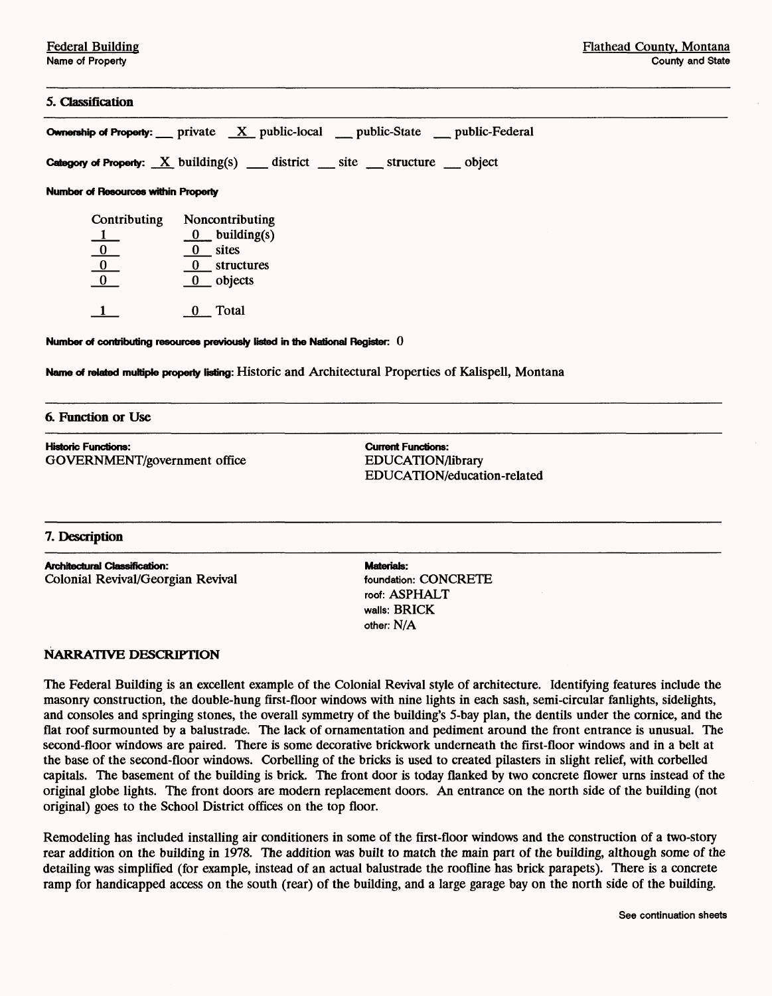### **5. Classification**

**Ownership of Properly:** private X public-local public-State public-Federal **Category of Property:** X building(s) district site structure object **Number of Resources within Properly** Contributing Noncontributing  $0$  building(s) 0 0 sites 0 0 structures 0 objects  $\overline{1}$  0 Total **Number of contributing resources previously listed in the National Register: 0 Name of related multiple property listing:** Historic and Architectural Properties of Kalispell, Montana

#### **6. Function or Use**

**Historic Functions: Current Functions:**  GOVERNMENT/government office EDUCATION/library

EDUCATION/education-related

### **7. Description**

**Architectural Classification: Materials:** Colonial Revival/Georgian Revival foundation: CONCRETE

roof: ASPHALT walls: BRICK other: N/A

### **NARRATIVE DESCRIPTION**

The Federal Building is an excellent example of the Colonial Revival style of architecture. Identifying features include the masonry construction, the double-hung first-floor windows with nine lights in each sash, semi-circular fanlights, sidelights, and consoles and springing stones, the overall symmetry of the building's 5-bay plan, the dentils under the cornice, and the flat roof surmounted by a balustrade. The lack of ornamentation and pediment around the front entrance is unusual. The second-floor windows are paired. There is some decorative brickwork underneath the first-floor windows and in a belt at the base of the second-floor windows. Corbelling of the bricks is used to created pilasters in slight relief, with corbelled capitals. The basement of the building is brick. The front door is today flanked by two concrete flower urns instead of the original globe lights. The front doors are modern replacement doors. An entrance on the north side of the building (not original) goes to the School District offices on the top floor.

Remodeling has included installing air conditioners in some of the first-floor windows and the construction of a two-story rear addition on the building in 1978. The addition was built to match the main part of the building, although some of the detailing was simplified (for example, instead of an actual balustrade the roofline has brick parapets). There is a concrete ramp for handicapped access on the south (rear) of the building, and a large garage bay on the north side of the building.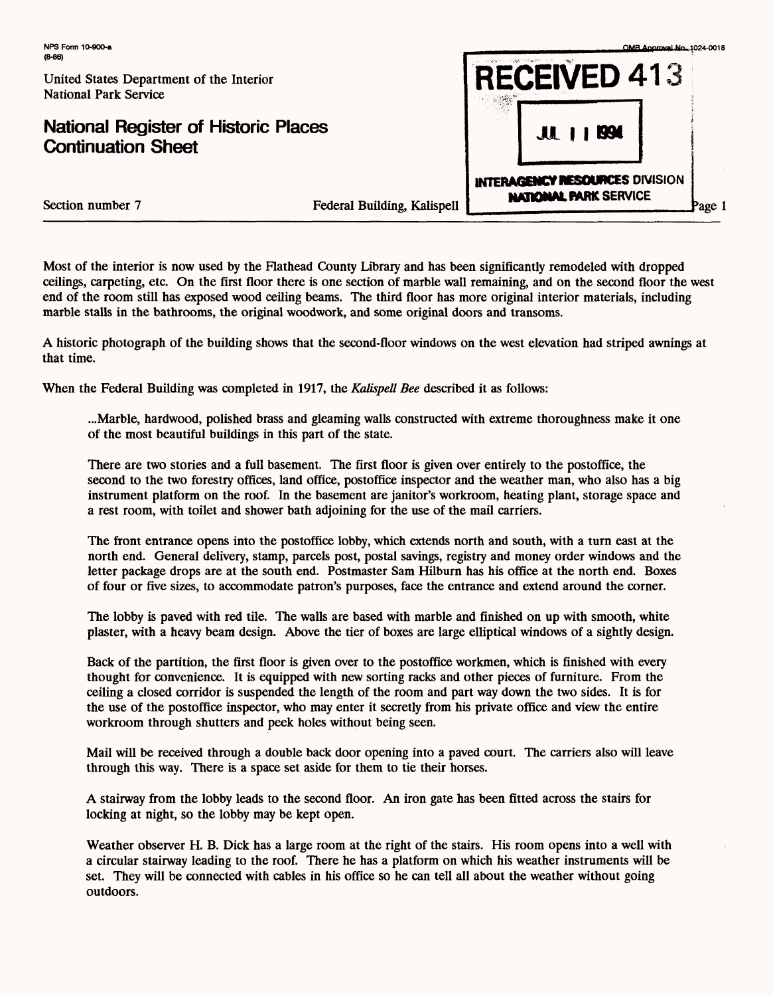# **National Register of Historic Places Continuation Sheet**



Section number 7

| Federal Building, Kalispell |  |
|-----------------------------|--|

Most of the interior is now used by the Rathead County Library and has been significantly remodeled with dropped ceilings, carpeting, etc. On the first floor there is one section of marble wall remaining, and on the second floor the west end of the room still has exposed wood ceiling beams. The third floor has more original interior materials, including marble stalls in the bathrooms, the original woodwork, and some original doors and transoms.

A historic photograph of the building shows that the second-floor windows on the west elevation had striped awnings at that time.

When the Federal Building was completed in 1917, the *Kalispell Bee* described it as follows:

...Marble, hardwood, polished brass and gleaming walls constructed with extreme thoroughness make it one of the most beautiful buildings in this part of the state.

There are two stories and a full basement. The first floor is given over entirely to the postoffice, the second to the two forestry offices, land office, postoffice inspector and the weather man, who also has a big instrument platform on the roof. In the basement are janitor's workroom, heating plant, storage space and a rest room, with toilet and shower bath adjoining for the use of the mail carriers.

The front entrance opens into the postoffice lobby, which extends north and south, with a turn east at the north end. General delivery, stamp, parcels post, postal savings, registry and money order windows and the letter package drops are at the south end. Postmaster Sam Hilburn has his office at the north end. Boxes of four or five sizes, to accommodate patron's purposes, face the entrance and extend around the corner.

The lobby is paved with red tile. The walls are based with marble and finished on up with smooth, white plaster, with a heavy beam design. Above the tier of boxes are large elliptical windows of a sightly design.

Back of the partition, the first floor is given over to the postoffice workmen, which is finished with every thought for convenience. It is equipped with new sorting racks and other pieces of furniture. From the ceiling a closed corridor is suspended the length of the room and part way down the two sides. It is for the use of the postoffice inspector, who may enter it secretly from his private office and view the entire workroom through shutters and peek holes without being seen.

Mail will be received through a double back door opening into a paved court. The carriers also will leave through this way. There is a space set aside for them to tie their horses.

A stairway from the lobby leads to the second floor. An iron gate has been fitted across the stairs for locking at night, so the lobby may be kept open.

Weather observer H. B. Dick has a large room at the right of the stairs. His room opens into a well with a circular stairway leading to the roof. There he has a platform on which his weather instruments will be set. They will be connected with cables in his office so he can tell all about the weather without going outdoors.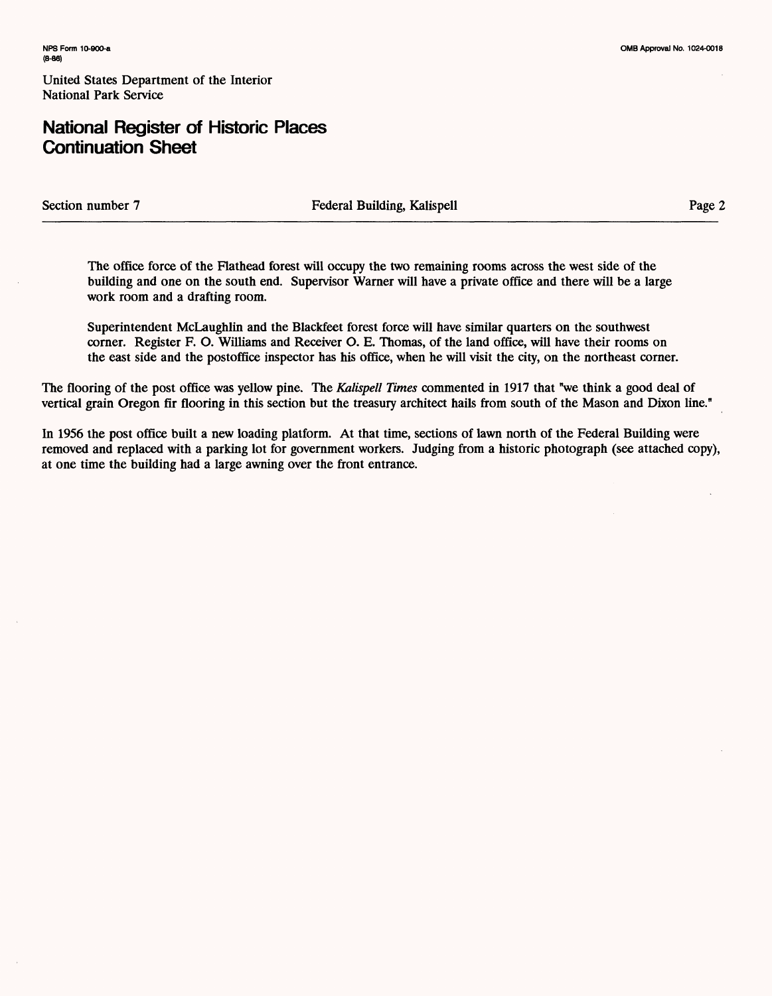# **National Register of Historic Places Continuation Sheet**

Section number 7 Federal Building, Kalispell Page 2

The office force of the Flathead forest will occupy the two remaining rooms across the west side of the building and one on the south end. Supervisor Warner will have a private office and there will be a large work room and a drafting room.

Superintendent McLaughlin and the Blackfeet forest force will have similar quarters on the southwest corner. Register F. O. Williams and Receiver O. E. Thomas, of the land office, will have their rooms on the east side and the postoffice inspector has his office, when he will visit the city, on the northeast corner.

The flooring of the post office was yellow pine. The *Kalispell Times* commented in 1917 that "we think a good deal of vertical grain Oregon fir flooring in this section but the treasury architect hails from south of the Mason and Dixon line."

In 1956 the post office built a new loading platform. At that time, sections of lawn north of the Federal Building were removed and replaced with a parking lot for government workers. Judging from a historic photograph (see attached copy), at one time the building had a large awning over the front entrance.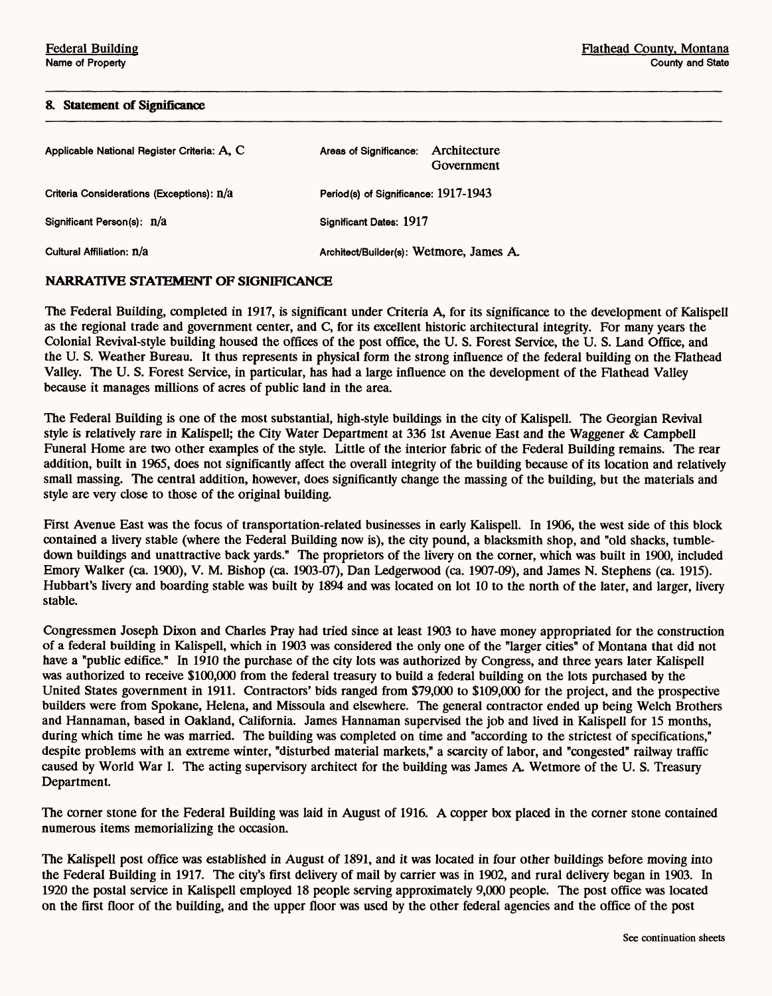#### **& Statement of Significance**

| Applicable National Register Criteria: A. C. | Architecture<br>Areas of Significance:<br>Government |  |
|----------------------------------------------|------------------------------------------------------|--|
| Criteria Considerations (Exceptions): n/a    | Period(s) of Significance: 1917-1943                 |  |
| Significant Person(s): n/a                   | Significant Dates: 1917                              |  |
| Cultural Affiliation: n/a                    | Architect/Builder(s): Wetmore, James A.              |  |

## NARRATIVE STATEMENT OF SIGNIFICANCE

The Federal Building, completed in 1917, is significant under Criteria A, for its significance to the development of Kalispell as the regional trade and government center, and C, for its excellent historic architectural integrity. For many years the Colonial Revival-style building housed the offices of the post office, the U. S. Forest Service, the U. S. Land Office, and the U. S. Weather Bureau. It thus represents in physical form the strong influence of the federal building on the Flathead Valley. The U. S. Forest Service, in particular, has had a large influence on the development of the Flathead Valley because it manages millions of acres of public land in the area.

The Federal Building is one of the most substantial, high-style buildings in the city of Kalispell. The Georgian Revival style is relatively rare in Kalispell; the City Water Department at 336 1st Avenue East and the Waggener & Campbell Funeral Home are two other examples of the style. Little of the interior fabric of the Federal Building remains. The rear addition, built in 1965, does not significantly affect the overall integrity of the building because of its location and relatively small massing. The central addition, however, does significantly change the massing of the building, but the materials and style are very close to those of the original building.

First Avenue East was the focus of transportation-related businesses in early Kalispell. In 1906, the west side of this block contained a livery stable (where the Federal Building now is), the city pound, a blacksmith shop, and "old shacks, tumbledown buildings and unattractive back yards." The proprietors of the livery on the corner, which was built in 1900, included Emory Walker (ca. 1900), V. M. Bishop (ca. 1903-07), Dan Ledgerwood (ca. 1907-09), and James N. Stephens (ca. 1915). Hubbart's livery and boarding stable was built by 1894 and was located on lot 10 to the north of the later, and larger, livery stable.

Congressmen Joseph Dixon and Charles Pray had tried since at least 1903 to have money appropriated for the construction of a federal building in Kalispell, which in 1903 was considered the only one of the "larger cities" of Montana that did not have a "public edifice." In 1910 the purchase of the city lots was authorized by Congress, and three years later Kalispell was authorized to receive \$100,000 from the federal treasury to build a federal building on the lots purchased by the United States government in 1911. Contractors' bids ranged from \$79,000 to \$109,000 for the project, and the prospective builders were from Spokane, Helena, and Missoula and elsewhere. The general contractor ended up being Welch Brothers and Hannaman, based in Oakland, California. James Hannaman supervised the job and lived in Kalispell for 15 months, during which time he was married. The building was completed on time and "according to the strictest of specifications," despite problems with an extreme winter, "disturbed material markets," a scarcity of labor, and "congested" railway traffic caused by World War I. The acting supervisory architect for the building was James A Wetmore of the U. S. Treasury Department.

The corner stone for the Federal Building was laid in August of 1916. A copper box placed in the corner stone contained numerous items memorializing the occasion.

The Kalispell post office was established in August of 1891, and it was located in four other buildings before moving into the Federal Building in 1917. The city's first delivery of mail by carrier was in 1902, and rural delivery began in 1903. In 1920 the postal service in Kalispell employed 18 people serving approximately 9,000 people. The post office was located on the first floor of the building, and the upper floor was used by the other federal agencies and the office of the post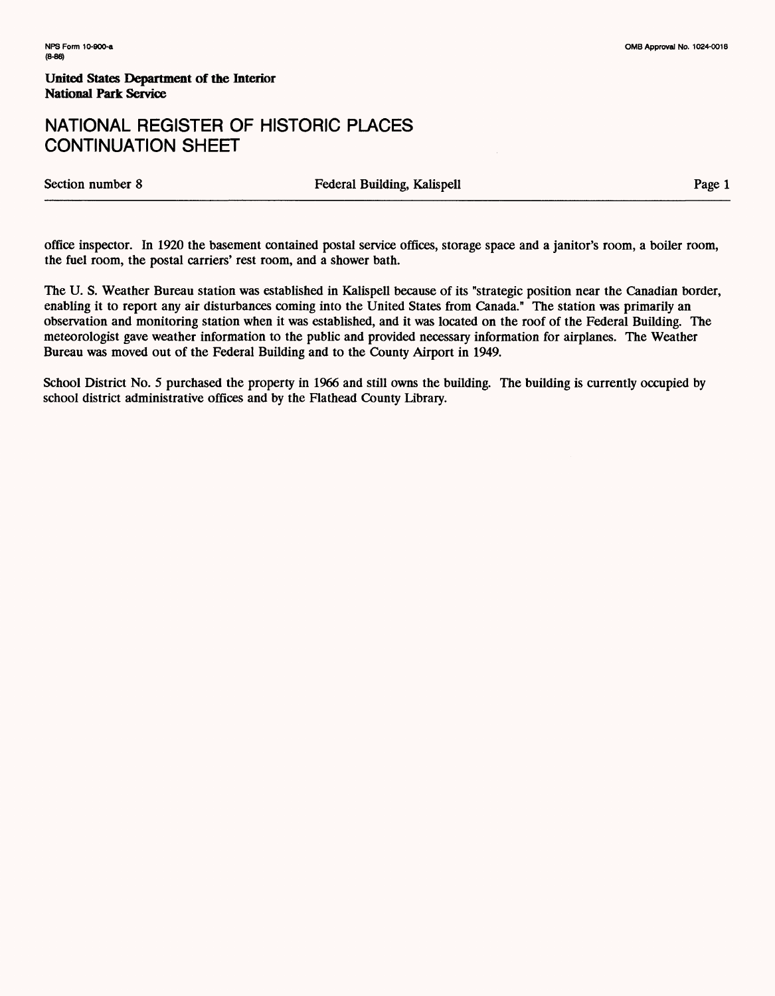# NATIONAL REGISTER OF HISTORIC PLACES CONTINUATION SHEET

Section number 8 Tederal Building, Kalispell Page 1

office inspector. In 1920 the basement contained postal service offices, storage space and a janitor's room, a boiler room, the fuel room, the postal carriers' rest room, and a shower bath.

The U. S. Weather Bureau station was established in Kalispell because of its "strategic position near the Canadian border, enabling it to report any air disturbances coming into the United States from Canada." The station was primarily an observation and monitoring station when it was established, and it was located on the roof of the Federal Building. The meteorologist gave weather information to the public and provided necessary information for airplanes. The Weather Bureau was moved out of the Federal Building and to the County Airport in 1949.

School District No. 5 purchased the property in 1966 and still owns the building. The building is currently occupied by school district administrative offices and by the Flathead County Library.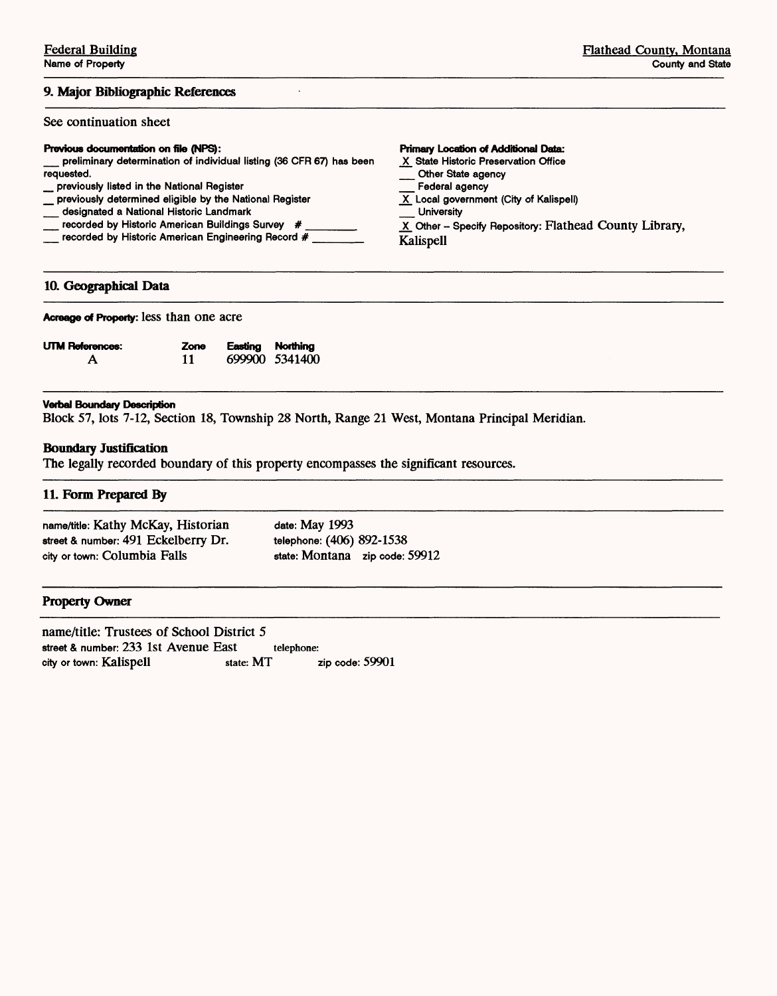## **9. Major Bibliographic References**

# See continuation sheet

# **Previous documentation on file (NPS):**

- \_ preliminary determination of individual listing (36 CFR 67) has been requested. \_ previously listed in the National Register \_ previously determined eligible by the National Register Other State agency<br>Federal agency
- 
- \_ designated a National Historic Landmark
- \_\_\_ recorded by Historic American Buildings Survey #
- \_ recorded by Historic American Engineering Record # \_\_\_\_\_\_

#### **10. Geographical Data**

|  |  | Acreage of Property: less than one acre |  |  |  |  |
|--|--|-----------------------------------------|--|--|--|--|
|--|--|-----------------------------------------|--|--|--|--|

| <b>UTM References:</b> | Zone | Easting Northing |                |
|------------------------|------|------------------|----------------|
|                        | 11   |                  | 699900 5341400 |

#### **Verbal Boundary Description**

Block 57, lots 7-12, Section 18, Township 28 North, Range 21 West, Montana Principal Meridian.

### **Boundary Justification**

The legally recorded boundary of this property encompasses the significant resources.

### **11. Form Prepared By**

| name/title: Kathy McKay, Historian  | date: May 1993                   |
|-------------------------------------|----------------------------------|
| street & number: 491 Eckelberry Dr. | telephone: (406) 892-1538        |
| city or town: Columbia Falls        | state: Montana zip code: $59912$ |

### **Property Owner**

name/title: Trustees of School District 5 street & number: 233 1st Avenue East telephone:<br>city or town: Kalispell state: MT city or town: Kalispell state: MT zip code: 59901

#### **Primary Location of Additional Data:**

X State Historic Preservation Office \_ Other State agency

- 
- 
- $\underline{X}$  Local government (City of Kalispell)<br>
University
- University<br>X Other Specify Repository: Flathead County Library,
- Kalispell